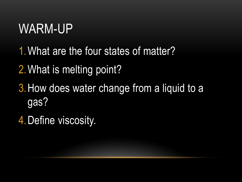#### WARM-UP

- 1.What are the four states of matter?
- 2.What is melting point?
- 3.How does water change from a liquid to a gas?
- 4.Define viscosity.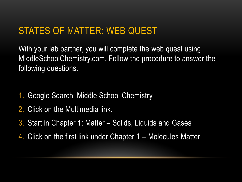#### STATES OF MATTER: WEB QUEST

With your lab partner, you will complete the web quest using MIddleSchoolChemistry.com. Follow the procedure to answer the following questions.

- 1. Google Search: Middle School Chemistry
- 2. Click on the Multimedia link.
- 3. Start in Chapter 1: Matter Solids, Liquids and Gases
- 4. Click on the first link under Chapter 1 Molecules Matter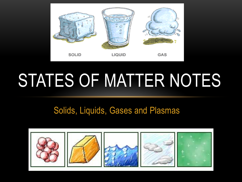

# STATES OF MATTER NOTES

#### Solids, Liquids, Gases and Plasmas

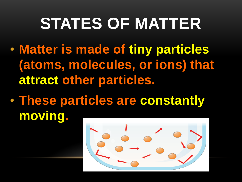## **STATES OF MATTER**

- **Matter is made of tiny particles (atoms, molecules, or ions) that attract other particles.**
- **These particles are constantly moving.**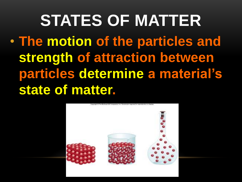**STATES OF MATTER** • **The motion of the particles and strength of attraction between particles determine a material's state of matter.**

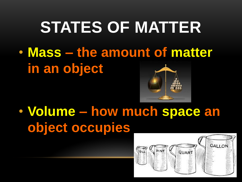#### **STATES OF MATTER**

• **Mass – the amount of matter in an object**



• **Volume – how much space an object occupies**

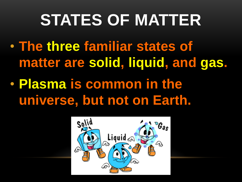## **STATES OF MATTER**

- **The three familiar states of matter are solid, liquid, and gas.**
- **Plasma is common in the universe, but not on Earth.**

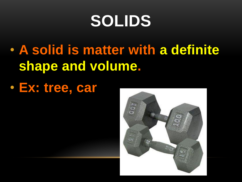## **SOLIDS**

- **A solid is matter with a definite shape and volume.**
- **Ex: tree, car**

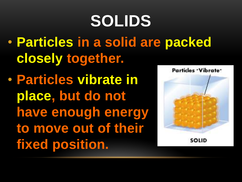# **SOLIDS**

- **Particles in a solid are packed closely together.**
- **Particles vibrate in place, but do not have enough energy to move out of their fixed position.**



SOLID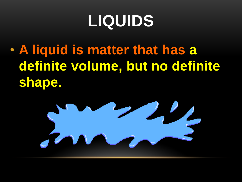## **LIQUIDS**

• **A liquid is matter that has a definite volume, but no definite shape.**

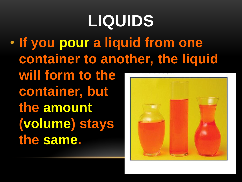## **LIQUIDS**

• **If you pour a liquid from one container to another, the liquid will form to the container, but the amount (volume) stays the same.**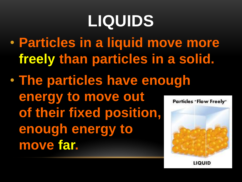## **LIQUIDS**

- **Particles in a liquid move more freely than particles in a solid.**
- **The particles have enough energy to move out**  of their fixed position, **enough energy to move far.**

Particles "Flow Freely"



LIQUID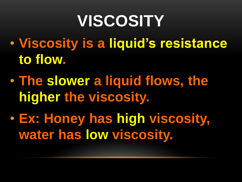## **VISCOSITY**

- **Viscosity is a liquid's resistance to flow.**
- **The slower a liquid flows, the higher the viscosity.**
- **Ex: Honey has high viscosity, water has low viscosity.**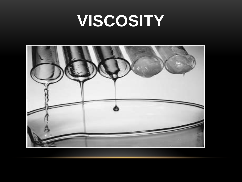#### **VISCOSITY**

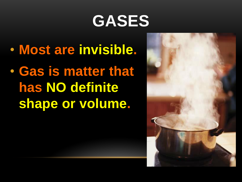## **GASES**

- **Most are invisible.**
- **Gas is matter that has NO definite shape or volume.**

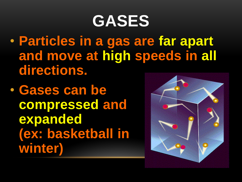#### **GASES**

- **Particles in a gas are far apart and move at high speeds in all directions.**
- **Gases can be compressed and expanded (ex: basketball in winter)**

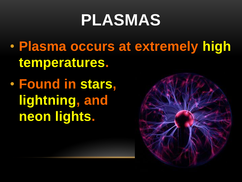## **PLASMAS**

- **Plasma occurs at extremely high temperatures.**
- **Found in stars, lightning, and neon lights.**

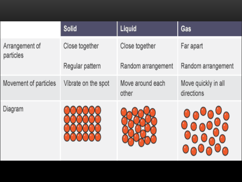|                             | Solid               | Liquid                    | Gas                               |
|-----------------------------|---------------------|---------------------------|-----------------------------------|
| Arrangement of<br>particles | Close together      | Close together            | Far apart                         |
|                             | Regular pattern     | Random arrangement        | Random arrangement                |
| Movement of particles       | Vibrate on the spot | Move around each<br>other | Move quickly in all<br>directions |
| Diagram                     |                     |                           | 000000                            |

**Barrowski** 

**Branch**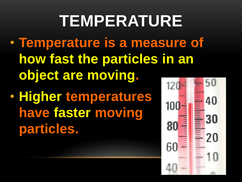## **TEMPERATURE**

- **Temperature is a measure of how fast the particles in an object are moving.**
- **Higher temperatures have faster moving particles.**

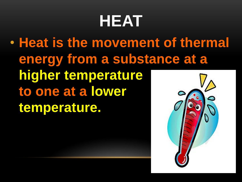## **HEAT**

• **Heat is the movement of thermal energy from a substance at a higher temperature to one at a lower temperature.**

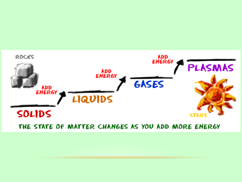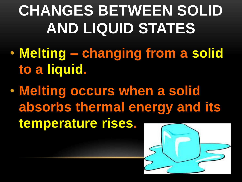## **CHANGES BETWEEN SOLID AND LIQUID STATES**

- **Melting – changing from a solid to a liquid.**
- **Melting occurs when a solid absorbs thermal energy and its temperature rises.**

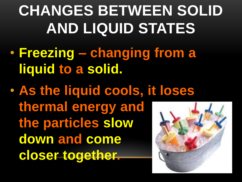## **CHANGES BETWEEN SOLID AND LIQUID STATES**

- **Freezing – changing from a liquid to a solid.**
- **As the liquid cools, it loses thermal energy and the particles slow down and come closer together.**

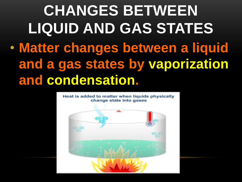#### **CHANGES BETWEEN LIQUID AND GAS STATES** • **Matter changes between a liquid and a gas states by vaporization and condensation.**

Heat is added to matter when liquids physically change state into gases

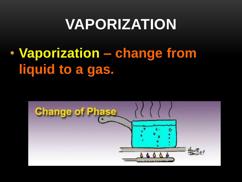#### **VAPORIZATION**

• **Vaporization – change from liquid to a gas.** 

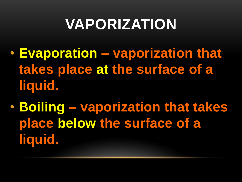#### **VAPORIZATION**

- **Evaporation – vaporization that takes place at the surface of a liquid.**
- **Boiling – vaporization that takes place below the surface of a liquid.**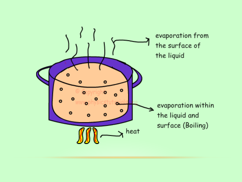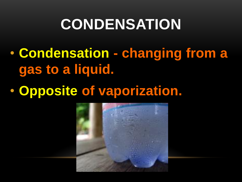#### **CONDENSATION**

- **Condensation - changing from a gas to a liquid.**
- **Opposite of vaporization.**

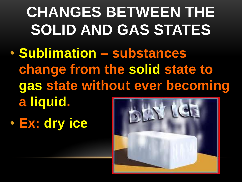#### **CHANGES BETWEEN THE SOLID AND GAS STATES**

- **Sublimation – substances change from the solid state to gas state without ever becoming a liquid.**
- **Ex: dry ice**

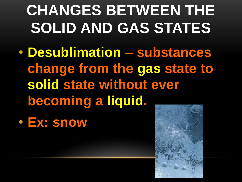#### **CHANGES BETWEEN THE SOLID AND GAS STATES**

- **Desublimation – substances change from the gas state to solid state without ever becoming a liquid.**
- **Ex: snow**

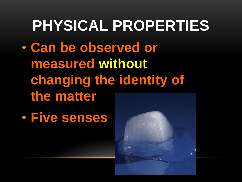## **PHYSICAL PROPERTIES** • **Can be observed or measured without changing the identity of the matter**

• **Five senses**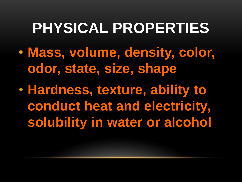#### **PHYSICAL PROPERTIES**

- **Mass, volume, density, color, odor, state, size, shape**
- **Hardness, texture, ability to conduct heat and electricity, solubility in water or alcohol**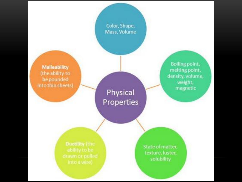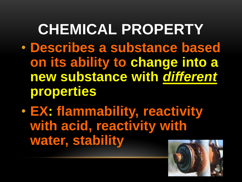#### **CHEMICAL PROPERTY**

- **Describes a substance based on its ability to change into a new substance with** *different* **properties**
- **EX: flammability, reactivity with acid, reactivity with water, stability**

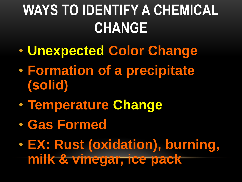#### **WAYS TO IDENTIFY A CHEMICAL CHANGE**

- **Unexpected Color Change**
- **Formation of a precipitate (solid)**
- **Temperature Change**
- **Gas Formed**
- **EX: Rust (oxidation), burning, milk & vinegar, ice pack**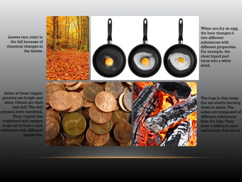Leaves turn color in the fall because of chemical changes in the leaves.





When you fry an egg, the heat changes it into different substances with different properties. For example, the clear liquid part turns into a white solid.

The logs in this campfire are slowly burning down to ashes. The ashes are composed of different substances than the logs. They have a different color and texture than wood.